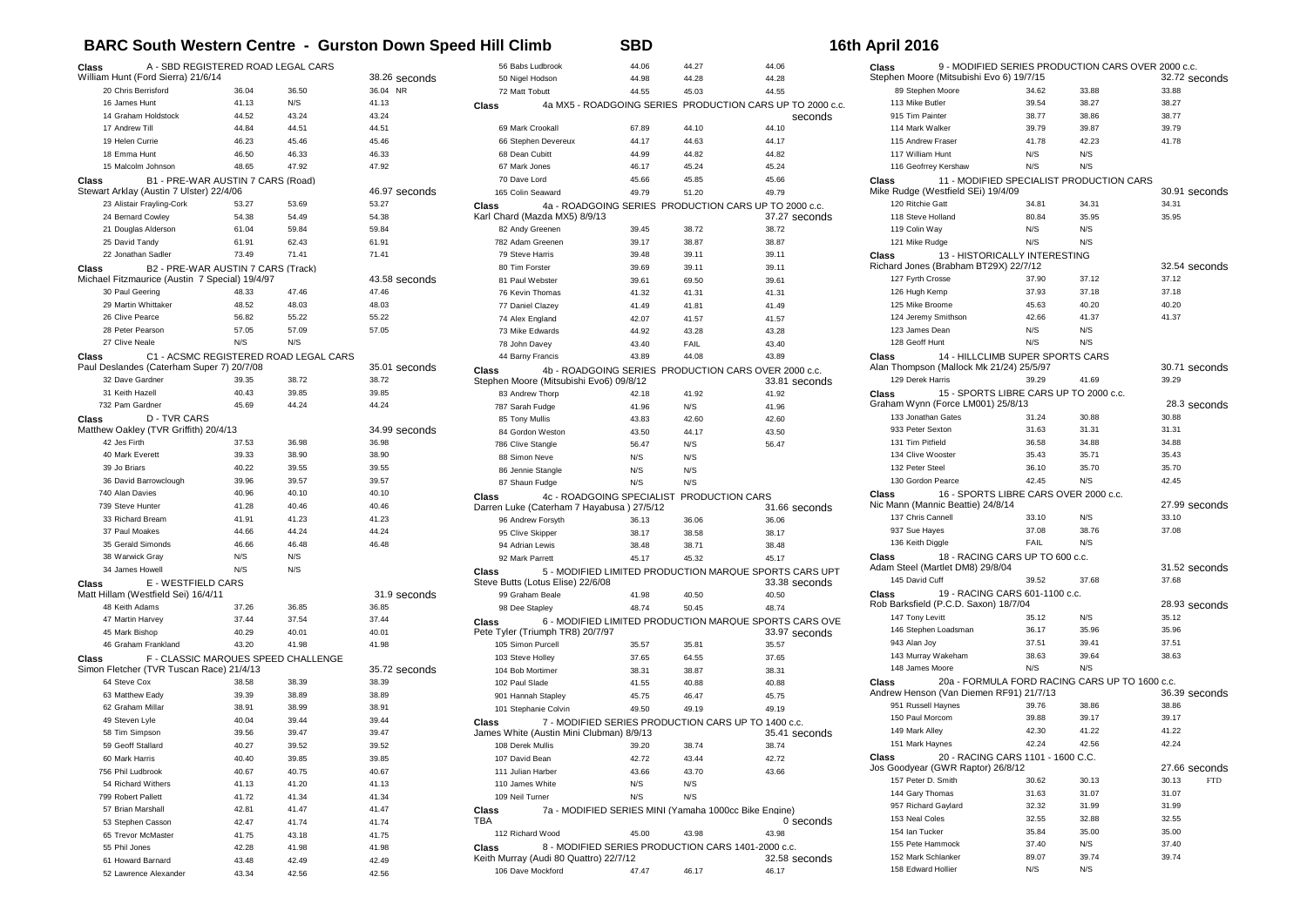## **BARC South Western Centre - Gurston Down Speed Hill Climb SBD 16th April 2016**

| Class                                             | A - SBD REGISTERED ROAD LEGAL CARS |                                       |               | 56 Babs Ludbrook                                 | 44.06                                                 | 44.27 | 44.06                                                                   |
|---------------------------------------------------|------------------------------------|---------------------------------------|---------------|--------------------------------------------------|-------------------------------------------------------|-------|-------------------------------------------------------------------------|
| William Hunt (Ford Sierra) 21/6/14                |                                    |                                       | 38.26 seconds | 50 Nigel Hodson                                  | 44.98                                                 | 44.28 | 44.28                                                                   |
| 20 Chris Berrisford                               | 36.04                              | 36.50                                 | 36.04 NR      | 72 Matt Tobutt                                   | 44.55                                                 | 45.03 | 44.55                                                                   |
| 16 James Hunt                                     | 41.13                              | N/S                                   | 41.13         | Class                                            |                                                       |       | 4a MX5 - ROADGOING SERIES PRODUCTION CARS UP TO 2000 c.c.               |
| 14 Graham Holdstock                               | 44.52                              | 43.24                                 | 43.24         |                                                  |                                                       |       | seconds                                                                 |
| 17 Andrew Till                                    | 44.84                              | 44.51                                 | 44.51         | 69 Mark Crookall                                 | 67.89                                                 | 44.10 | 44.10                                                                   |
| 19 Helen Currie                                   | 46.23                              | 45.46                                 | 45.46         | 66 Stephen Devereux                              | 44.17                                                 | 44.63 | 44.17                                                                   |
| 18 Emma Hunt                                      | 46.50                              | 46.33                                 | 46.33         | 68 Dean Cubitt                                   | 44.99                                                 | 44.82 | 44.82                                                                   |
| 15 Malcolm Johnson                                |                                    | 47.92                                 |               |                                                  |                                                       |       |                                                                         |
|                                                   | 48.65                              |                                       | 47.92         | 67 Mark Jones                                    | 46.17                                                 | 45.24 | 45.24                                                                   |
| Class                                             | B1 - PRE-WAR AUSTIN 7 CARS (Road)  |                                       |               | 70 Dave Lord                                     | 45.66                                                 | 45.85 | 45.66                                                                   |
| Stewart Arklay (Austin 7 Ulster) 22/4/06          |                                    |                                       | 46.97 seconds | 165 Colin Seaward                                | 49.79                                                 | 51.20 | 49.79                                                                   |
| 23 Alistair Frayling-Cork                         | 53.27                              | 53.69                                 | 53.27         | Class                                            |                                                       |       | 4a - ROADGOING SERIES PRODUCTION CARS UP TO 2000 c.c.                   |
| 24 Bernard Cowley                                 | 54.38                              | 54.49                                 | 54.38         | Karl Chard (Mazda MX5) 8/9/13                    |                                                       |       | 37.27 seconds                                                           |
| 21 Douglas Alderson                               | 61.04                              | 59.84                                 | 59.84         | 82 Andy Greenen                                  | 39.45                                                 | 38.72 | 38.72                                                                   |
| 25 David Tandy                                    | 61.91                              | 62.43                                 | 61.91         | 782 Adam Greenen                                 | 39.17                                                 | 38.87 | 38.87                                                                   |
| 22 Jonathan Sadler                                | 73.49                              | 71.41                                 | 71.41         | 79 Steve Harris                                  | 39.48                                                 | 39.11 | 39.11                                                                   |
| Class                                             | B2 - PRE-WAR AUSTIN 7 CARS (Track) |                                       |               | 80 Tim Forster                                   | 39.69                                                 | 39.11 | 39.11                                                                   |
| Michael Fitzmaurice (Austin 7 Special) 19/4/97    |                                    |                                       | 43.58 seconds | 81 Paul Webster                                  | 39.61                                                 | 69.50 | 39.61                                                                   |
| 30 Paul Geering                                   | 48.33                              | 47.46                                 | 47.46         | 76 Kevin Thomas                                  | 41.32                                                 | 41.31 | 41.31                                                                   |
| 29 Martin Whittaker                               | 48.52                              | 48.03                                 | 48.03         | 77 Daniel Clazey                                 | 41.49                                                 | 41.81 | 41.49                                                                   |
| 26 Clive Pearce                                   | 56.82                              | 55.22                                 | 55.22         | 74 Alex England                                  | 42.07                                                 | 41.57 | 41.57                                                                   |
| 28 Peter Pearson                                  | 57.05                              | 57.09                                 | 57.05         | 73 Mike Edwards                                  | 44.92                                                 | 43.28 | 43.28                                                                   |
| 27 Clive Neale                                    | N/S                                | N/S                                   |               | 78 John Davey                                    | 43.40                                                 | FAIL  | 43.40                                                                   |
| Class                                             |                                    | C1 - ACSMC REGISTERED ROAD LEGAL CARS |               | 44 Barny Francis                                 | 43.89                                                 | 44.08 | 43.89                                                                   |
| Paul Deslandes (Caterham Super 7) 20/7/08         |                                    |                                       | 35.01 seconds |                                                  |                                                       |       | 4b - ROADGOING SERIES PRODUCTION CARS OVER 2000 c.c.                    |
| 32 Dave Gardner                                   | 39.35                              | 38.72                                 | 38.72         | Class<br>Stephen Moore (Mitsubishi Evo6) 09/8/12 |                                                       |       | 33.81 seconds                                                           |
| 31 Keith Hazell                                   | 40.43                              | 39.85                                 | 39.85         |                                                  |                                                       |       |                                                                         |
| 732 Pam Gardner                                   | 45.69                              | 44.24                                 | 44.24         | 83 Andrew Thorp                                  | 42.18                                                 | 41.92 | 41.92                                                                   |
|                                                   |                                    |                                       |               | 787 Sarah Fudge                                  | 41.96                                                 | N/S   | 41.96                                                                   |
| <b>D-TVR CARS</b><br>Class                        |                                    |                                       |               | 85 Tony Mullis                                   | 43.83                                                 | 42.60 | 42.60                                                                   |
| Matthew Oakley (TVR Griffith) 20/4/13             |                                    |                                       | 34.99 seconds | 84 Gordon Weston                                 | 43.50                                                 | 44.17 | 43.50                                                                   |
| 42 Jes Firth                                      | 37.53                              | 36.98                                 | 36.98         | 786 Clive Stangle                                | 56.47                                                 | N/S   | 56.47                                                                   |
| 40 Mark Everett                                   | 39.33                              | 38.90                                 | 38.90         | 88 Simon Neve                                    | N/S                                                   | N/S   |                                                                         |
| 39 Jo Briars                                      | 40.22                              | 39.55                                 | 39.55         | 86 Jennie Stangle                                | N/S                                                   | N/S   |                                                                         |
| 36 David Barrowclough                             | 39.96                              | 39.57                                 | 39.57         | 87 Shaun Fudge                                   | N/S                                                   | N/S   |                                                                         |
| 740 Alan Davies                                   | 40.96                              | 40.10                                 | 40.10         | Class                                            | 4c - ROADGOING SPECIALIST PRODUCTION CARS             |       |                                                                         |
| 739 Steve Hunter                                  | 41.28                              | 40.46                                 | 40.46         | Darren Luke (Caterham 7 Hayabusa) 27/5/12        |                                                       |       | 31.66 seconds                                                           |
| 33 Richard Bream                                  | 41.91                              | 41.23                                 | 41.23         | 96 Andrew Forsyth                                | 36.13                                                 | 36.06 | 36.06                                                                   |
| 37 Paul Moakes                                    | 44.66                              | 44.24                                 | 44.24         | 95 Clive Skipper                                 | 38.17                                                 | 38.58 | 38.17                                                                   |
| 35 Gerald Simonds                                 | 46.66                              | 46.48                                 | 46.48         | 94 Adrian Lewis                                  | 38.48                                                 | 38.71 | 38.48                                                                   |
| 38 Warwick Gray                                   | N/S                                | N/S                                   |               | 92 Mark Parrett                                  | 45.17                                                 | 45.32 | 45.17                                                                   |
| 34 James Howell                                   | N/S                                | N/S                                   |               | <b>Class</b>                                     |                                                       |       | 5 - MODIFIED LIMITED PRODUCTION MARQUE SPORTS CARS UPT                  |
| E - WESTFIELD CARS<br>Class                       |                                    |                                       |               | Steve Butts (Lotus Elise) 22/6/08                |                                                       |       | 33.38 seconds                                                           |
| Matt Hillam (Westfield Sei) 16/4/11               |                                    |                                       | 31.9 seconds  | 99 Graham Beale                                  | 41.98                                                 | 40.50 | 40.50                                                                   |
| 48 Keith Adams                                    | 37.26                              | 36.85                                 | 36.85         | 98 Dee Stapley                                   | 48.74                                                 | 50.45 | 48.74                                                                   |
| 47 Martin Harvey                                  | 37.44                              | 37.54                                 | 37.44         |                                                  |                                                       |       |                                                                         |
| 45 Mark Bishop                                    | 40.29                              | 40.01                                 | 40.01         | <b>Class</b><br>Pete Tyler (Triumph TR8) 20/7/97 |                                                       |       | 6 - MODIFIED LIMITED PRODUCTION MARQUE SPORTS CARS OVE<br>33.97 seconds |
| 46 Graham Frankland                               | 43.20                              |                                       |               |                                                  |                                                       |       |                                                                         |
|                                                   |                                    | 41.98                                 | 41.98         | 105 Simon Purcell                                | 35.57                                                 | 35.81 | 35.57                                                                   |
| Class<br>Simon Fletcher (TVR Tuscan Race) 21/4/13 |                                    | F - CLASSIC MARQUES SPEED CHALLENGE   |               | 103 Steve Holley                                 | 37.65                                                 | 64.55 | 37.65                                                                   |
|                                                   |                                    |                                       | 35.72 seconds | 104 Bob Mortimer                                 | 38.31                                                 | 38.87 | 38.31                                                                   |
| 64 Steve Cox                                      | 38.58                              | 38.39                                 | 38.39         | 102 Paul Slade                                   | 41.55                                                 | 40.88 | 40.88                                                                   |
| 63 Matthew Eadv                                   | 39.39                              | 38.89                                 | 38.89         | 901 Hannah Stapley                               | 45.75                                                 | 46.47 | 45.75                                                                   |
| 62 Graham Millar                                  | 38.91                              | 38.99                                 | 38.91         | 101 Stephanie Colvin                             | 49.50                                                 | 49.19 | 49.19                                                                   |
| 49 Steven Lyle                                    | 40.04                              | 39.44                                 | 39.44         | Class                                            | 7 - MODIFIED SERIES PRODUCTION CARS UP TO 1400 c.c.   |       |                                                                         |
| 58 Tim Simpson                                    | 39.56                              | 39.47                                 | 39.47         | James White (Austin Mini Clubman) 8/9/13         |                                                       |       | 35.41 seconds                                                           |
| 59 Geoff Stallard                                 | 40.27                              | 39.52                                 | 39.52         | 108 Derek Mullis                                 | 39.20                                                 | 38.74 | 38.74                                                                   |
| 60 Mark Harris                                    | 40.40                              | 39.85                                 | 39.85         | 107 David Bean                                   | 42.72                                                 | 43.44 | 42.72                                                                   |
| 756 Phil Ludbrook                                 | 40.67                              | 40.75                                 | 40.67         | 111 Julian Harber                                | 43.66                                                 | 43.70 | 43.66                                                                   |
| 54 Richard Withers                                | 41.13                              | 41.20                                 | 41.13         | 110 James White                                  | N/S                                                   | N/S   |                                                                         |
| 799 Robert Pallett                                | 41.72                              | 41.34                                 | 41.34         | 109 Neil Turner                                  | N/S                                                   | N/S   |                                                                         |
| 57 Brian Marshall                                 | 42.81                              | 41.47                                 | 41.47         | Class                                            | 7a - MODIFIED SERIES MINI (Yamaha 1000cc Bike Engine) |       |                                                                         |
| 53 Stephen Casson                                 | 42.47                              | 41.74                                 | 41.74         | TBA                                              |                                                       |       | 0 seconds                                                               |
| 65 Trevor McMaster                                | 41.75                              | 43.18                                 | 41.75         | 112 Richard Wood                                 | 45.00                                                 | 43.98 | 43.98                                                                   |
|                                                   |                                    |                                       |               | Class                                            |                                                       |       |                                                                         |
| 55 Phil Jones                                     | 42.28                              | 41.98                                 | 41.98         | Keith Murray (Audi 80 Quattro) 22/7/12           | 8 - MODIFIED SERIES PRODUCTION CARS 1401-2000 c.c.    |       | 32.58 seconds                                                           |
| 61 Howard Barnard                                 | 43.48                              | 42.49                                 | 42.49         | 106 Dave Mockford                                |                                                       |       |                                                                         |
| 52 Lawrence Alexander                             | 43.34                              | 42.56                                 | 42.56         |                                                  | 47.47                                                 | 46.17 | 46.17                                                                   |

| 9 - MODIFIED SERIES PRODUCTION CARS OVER 2000 c.c.<br>Class                      |                |                                                |                        |  |  |  |  |
|----------------------------------------------------------------------------------|----------------|------------------------------------------------|------------------------|--|--|--|--|
| Stephen Moore (Mitsubishi Evo 6) 19/7/15                                         |                |                                                | 32.72 seconds          |  |  |  |  |
| 89 Stephen Moore                                                                 | 34.62          | 33.88                                          | 33.88                  |  |  |  |  |
| 113 Mike Butler<br>915 Tim Painter                                               | 39.54<br>38.77 | 38.27<br>38.86                                 | 38.27<br>38.77         |  |  |  |  |
| 114 Mark Walker                                                                  | 39.79          | 39.87                                          | 39.79                  |  |  |  |  |
| 115 Andrew Fraser                                                                | 41.78          | 42.23                                          | 41.78                  |  |  |  |  |
| 117 William Hunt                                                                 | N/S            | N/S                                            |                        |  |  |  |  |
| 116 Geofrrey Kershaw                                                             | N/S            | N/S                                            |                        |  |  |  |  |
| Class                                                                            |                | 11 - MODIFIED SPECIALIST PRODUCTION CARS       |                        |  |  |  |  |
| Mike Rudge (Westfield SEi) 19/4/09                                               |                |                                                | 30.91 seconds          |  |  |  |  |
| 120 Ritchie Gatt                                                                 | 34.81          | 34.31                                          | 34.31                  |  |  |  |  |
| 118 Steve Holland                                                                | 80.84          | 35.95                                          | 35.95                  |  |  |  |  |
| 119 Colin Way                                                                    | N/S            | N/S                                            |                        |  |  |  |  |
| 121 Mike Rudge                                                                   | N/S            | N/S                                            |                        |  |  |  |  |
| 13 - HISTORICALLY INTERESTING<br>Class                                           |                |                                                |                        |  |  |  |  |
| Richard Jones (Brabham BT29X) 22/7/12                                            |                |                                                | 32.54 seconds          |  |  |  |  |
| 127 Fyrth Crosse                                                                 | 37.90          | 37.12                                          | 37.12                  |  |  |  |  |
| 126 Hugh Kemp                                                                    | 37.93          | 37.18                                          | 37.18                  |  |  |  |  |
| 125 Mike Broome                                                                  | 45.63          | 40.20                                          | 40.20                  |  |  |  |  |
| 124 Jeremy Smithson                                                              | 42.66          | 41.37                                          | 41.37                  |  |  |  |  |
| 123 James Dean                                                                   | N/S            | N/S                                            |                        |  |  |  |  |
| 128 Geoff Hunt                                                                   | N/S            | N/S                                            |                        |  |  |  |  |
| 14 - HILLCLIMB SUPER SPORTS CARS<br>Class                                        |                |                                                |                        |  |  |  |  |
| Alan Thompson (Mallock Mk 21/24) 25/5/97<br>129 Derek Harris                     | 39.29          | 41.69                                          | 30.71 seconds<br>39.29 |  |  |  |  |
| 15 - SPORTS LIBRE CARS UP TO 2000 c.c.<br>Class                                  |                |                                                |                        |  |  |  |  |
| Graham Wynn (Force LM001) 25/8/13                                                |                |                                                | 28.3 seconds           |  |  |  |  |
| 133 Jonathan Gates                                                               | 31.24          | 30.88                                          | 30.88                  |  |  |  |  |
| 933 Peter Sexton                                                                 | 31.63          | 31.31                                          | 31.31                  |  |  |  |  |
| 131 Tim Pitfield                                                                 | 36.58          | 34.88                                          | 34.88                  |  |  |  |  |
| 134 Clive Wooster                                                                | 35.43          | 35.71                                          | 35.43                  |  |  |  |  |
| 132 Peter Steel                                                                  | 36.10          | 35.70                                          | 35.70                  |  |  |  |  |
| 130 Gordon Pearce                                                                | 42.45          | N/S                                            | 42.45                  |  |  |  |  |
| 16 - SPORTS LIBRE CARS OVER 2000 c.c.<br>Class                                   |                |                                                |                        |  |  |  |  |
| Nic Mann (Mannic Beattie) 24/8/14                                                |                |                                                | 27.99 seconds          |  |  |  |  |
| 137 Chris Cannell                                                                | 33.10          | N/S                                            | 33.10                  |  |  |  |  |
| 937 Sue Hayes                                                                    | 37.08          | 38.76                                          | 37.08                  |  |  |  |  |
| 136 Keith Diggle                                                                 | FAIL           | N/S                                            |                        |  |  |  |  |
| 18 - RACING CARS UP TO 600 c.c.<br>Class                                         |                |                                                |                        |  |  |  |  |
| Adam Steel (Martlet DM8) 29/8/04                                                 |                | 37.68                                          | 31.52 seconds<br>37.68 |  |  |  |  |
| 145 David Cuff                                                                   | 39.52          |                                                |                        |  |  |  |  |
| 19 - RACING CARS 601-1100 c.c.<br>Class<br>Rob Barksfield (P.C.D. Saxon) 18/7/04 |                |                                                | 28.93 seconds          |  |  |  |  |
| 147 Tony Levitt                                                                  | 35.12          | N/S                                            | 35.12                  |  |  |  |  |
| 146 Stephen Loadsman                                                             | 36.17          | 35.96                                          | 35.96                  |  |  |  |  |
| 943 Alan Joy                                                                     | 37.51          | 39.41                                          | 37.51                  |  |  |  |  |
| 143 Murrav Wakeham                                                               | 38.63          | 39.64                                          | 38.63                  |  |  |  |  |
| 148 James Moore                                                                  | N/S            | N/S                                            |                        |  |  |  |  |
| Class                                                                            |                | 20a - FORMULA FORD RACING CARS UP TO 1600 c.c. |                        |  |  |  |  |
| Andrew Henson (Van Diemen RF91) 21/7/13                                          |                |                                                | 36.39 seconds          |  |  |  |  |
| 951 Russell Haynes                                                               | 39.76          | 38.86                                          | 38.86                  |  |  |  |  |
| 150 Paul Morcom                                                                  | 39.88          | 39.17                                          | 39.17                  |  |  |  |  |
| 149 Mark Alley                                                                   | 42.30          | 41.22                                          | 41.22                  |  |  |  |  |
| 151 Mark Haynes                                                                  | 42.24          | 42.56                                          | 42.24                  |  |  |  |  |
| 20 - RACING CARS 1101 - 1600 C.C.<br>Class                                       |                |                                                |                        |  |  |  |  |
| Jos Goodyear (GWR Raptor) 26/8/12                                                |                |                                                | 27.66 seconds          |  |  |  |  |
| 157 Peter D. Smith                                                               | 30.62          | 30.13                                          | 30.13<br><b>FTD</b>    |  |  |  |  |
| 144 Gary Thomas                                                                  | 31.63          | 31.07                                          | 31.07                  |  |  |  |  |
| 957 Richard Gaylard<br>153 Neal Coles                                            | 32.32<br>32.55 | 31.99<br>32.88                                 | 31.99                  |  |  |  |  |
| 154 Ian Tucker                                                                   | 35.84          | 35.00                                          | 32.55<br>35.00         |  |  |  |  |
| 155 Pete Hammock                                                                 | 37.40          | N/S                                            | 37.40                  |  |  |  |  |
| 152 Mark Schlanker                                                               | 89.07          | 39.74                                          | 39.74                  |  |  |  |  |
| 158 Edward Hollier                                                               | N/S            | N/S                                            |                        |  |  |  |  |